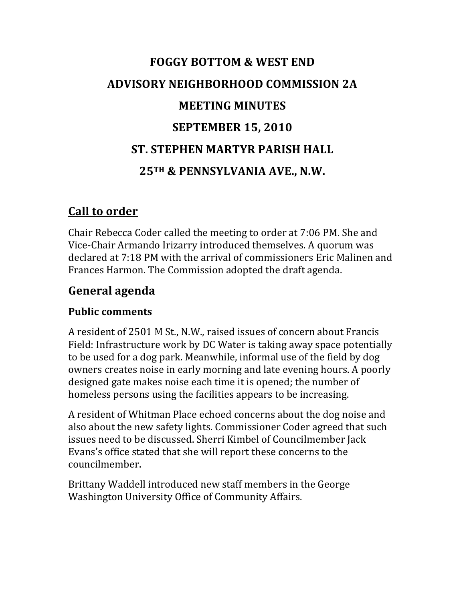# **FOGGY BOTTOM & WEST END ADVISORY NEIGHBORHOOD COMMISSION 2A MEETING MINUTES SEPTEMBER 15, 2010 ST. STEPHEN MARTYR PARISH HALL 25TH & PENNSYLVANIA AVE., N.W.**

## **Call to order**

Chair Rebecca Coder called the meeting to order at 7:06 PM. She and Vice-Chair Armando Irizarry introduced themselves. A quorum was declared at 7:18 PM with the arrival of commissioners Eric Malinen and Frances Harmon. The Commission adopted the draft agenda.

## **General agenda**

#### **Public comments**

A resident of 2501 M St., N.W., raised issues of concern about Francis Field: Infrastructure work by DC Water is taking away space potentially to be used for a dog park. Meanwhile, informal use of the field by dog owners creates noise in early morning and late evening hours. A poorly designed gate makes noise each time it is opened; the number of homeless persons using the facilities appears to be increasing.

A resident of Whitman Place echoed concerns about the dog noise and also about the new safety lights. Commissioner Coder agreed that such issues need to be discussed. Sherri Kimbel of Councilmember Jack Evans's office stated that she will report these concerns to the councilmember. 

Brittany Waddell introduced new staff members in the George Washington University Office of Community Affairs.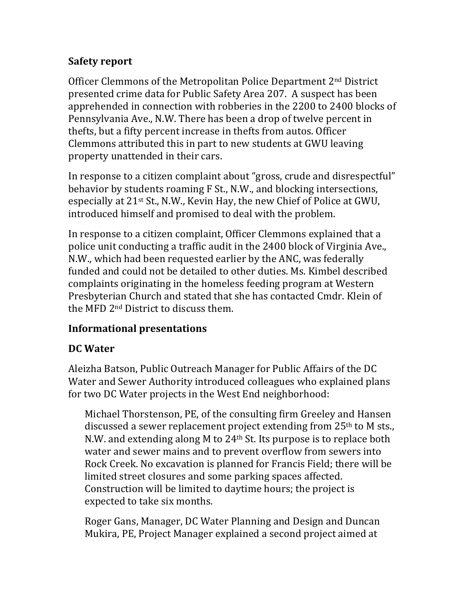#### **Safety report**

Officer Clemmons of the Metropolitan Police Department 2<sup>nd</sup> District presented crime data for Public Safety Area 207. A suspect has been apprehended in connection with robberies in the 2200 to 2400 blocks of Pennsylvania Ave., N.W. There has been a drop of twelve percent in thefts, but a fifty percent increase in thefts from autos. Officer Clemmons attributed this in part to new students at GWU leaving property unattended in their cars.

In response to a citizen complaint about "gross, crude and disrespectful" behavior by students roaming F St., N.W., and blocking intersections, especially at  $21^{st}$  St., N.W., Kevin Hay, the new Chief of Police at GWU, introduced himself and promised to deal with the problem.

In response to a citizen complaint, Officer Clemmons explained that a police unit conducting a traffic audit in the 2400 block of Virginia Ave., N.W., which had been requested earlier by the ANC, was federally funded and could not be detailed to other duties. Ms. Kimbel described complaints originating in the homeless feeding program at Western Presbyterian Church and stated that she has contacted Cmdr. Klein of the MFD 2<sup>nd</sup> District to discuss them.

#### **Informational presentations**

#### **DC Water**

Aleizha Batson, Public Outreach Manager for Public Affairs of the DC Water and Sewer Authority introduced colleagues who explained plans for two DC Water projects in the West End neighborhood:

Michael Thorstenson, PE, of the consulting firm Greeley and Hansen discussed a sewer replacement project extending from  $25<sup>th</sup>$  to M sts., N.W. and extending along M to  $24<sup>th</sup>$  St. Its purpose is to replace both water and sewer mains and to prevent overflow from sewers into Rock Creek. No excavation is planned for Francis Field; there will be limited street closures and some parking spaces affected. Construction will be limited to daytime hours; the project is expected to take six months.

Roger Gans, Manager, DC Water Planning and Design and Duncan Mukira, PE, Project Manager explained a second project aimed at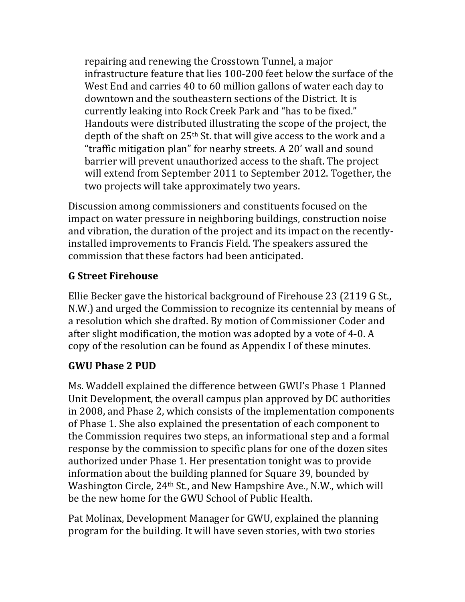repairing and renewing the Crosstown Tunnel, a major infrastructure feature that lies 100-200 feet below the surface of the West End and carries 40 to 60 million gallons of water each day to downtown and the southeastern sections of the District. It is currently leaking into Rock Creek Park and "has to be fixed." Handouts were distributed illustrating the scope of the project, the depth of the shaft on  $25<sup>th</sup>$  St. that will give access to the work and a "traffic mitigation plan" for nearby streets. A  $20'$  wall and sound barrier will prevent unauthorized access to the shaft. The project will extend from September 2011 to September 2012. Together, the two projects will take approximately two years.

Discussion among commissioners and constituents focused on the impact on water pressure in neighboring buildings, construction noise and vibration, the duration of the project and its impact on the recentlyinstalled improvements to Francis Field. The speakers assured the commission that these factors had been anticipated.

### **G Street Firehouse**

Ellie Becker gave the historical background of Firehouse 23 (2119 G St., N.W.) and urged the Commission to recognize its centennial by means of a resolution which she drafted. By motion of Commissioner Coder and after slight modification, the motion was adopted by a vote of 4-0. A copy of the resolution can be found as Appendix I of these minutes.

#### **GWU Phase 2 PUD**

Ms. Waddell explained the difference between GWU's Phase 1 Planned Unit Development, the overall campus plan approved by DC authorities in 2008, and Phase 2, which consists of the implementation components of Phase 1. She also explained the presentation of each component to the Commission requires two steps, an informational step and a formal response by the commission to specific plans for one of the dozen sites authorized under Phase 1. Her presentation tonight was to provide information about the building planned for Square 39, bounded by Washington Circle, 24<sup>th</sup> St., and New Hampshire Ave., N.W., which will be the new home for the GWU School of Public Health.

Pat Molinax, Development Manager for GWU, explained the planning program for the building. It will have seven stories, with two stories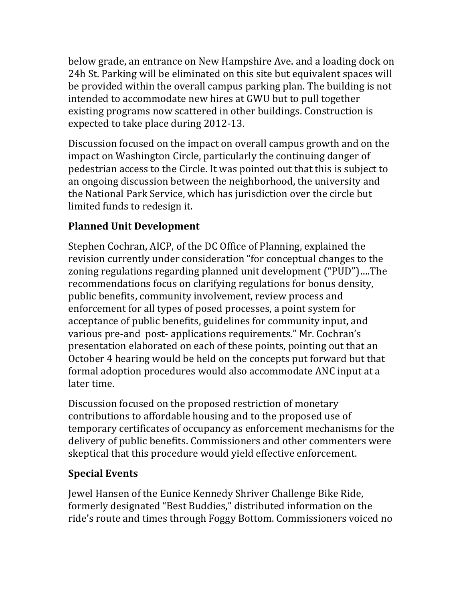below grade, an entrance on New Hampshire Ave. and a loading dock on 24h St. Parking will be eliminated on this site but equivalent spaces will be provided within the overall campus parking plan. The building is not intended to accommodate new hires at GWU but to pull together existing programs now scattered in other buildings. Construction is expected to take place during 2012-13.

Discussion focused on the impact on overall campus growth and on the impact on Washington Circle, particularly the continuing danger of pedestrian access to the Circle. It was pointed out that this is subject to an ongoing discussion between the neighborhood, the university and the National Park Service, which has jurisdiction over the circle but limited funds to redesign it.

## **Planned Unit Development**

Stephen Cochran, AICP, of the DC Office of Planning, explained the revision currently under consideration "for conceptual changes to the zoning regulations regarding planned unit development ("PUD")....The recommendations focus on clarifying regulations for bonus density, public benefits, community involvement, review process and enforcement for all types of posed processes, a point system for acceptance of public benefits, guidelines for community input, and various pre-and post- applications requirements." Mr. Cochran's presentation elaborated on each of these points, pointing out that an October 4 hearing would be held on the concepts put forward but that formal adoption procedures would also accommodate ANC input at a later time.

Discussion focused on the proposed restriction of monetary contributions to affordable housing and to the proposed use of temporary certificates of occupancy as enforcement mechanisms for the delivery of public benefits. Commissioners and other commenters were skeptical that this procedure would yield effective enforcement.

## **Special Events**

Jewel Hansen of the Eunice Kennedy Shriver Challenge Bike Ride, formerly designated "Best Buddies," distributed information on the ride's route and times through Foggy Bottom. Commissioners voiced no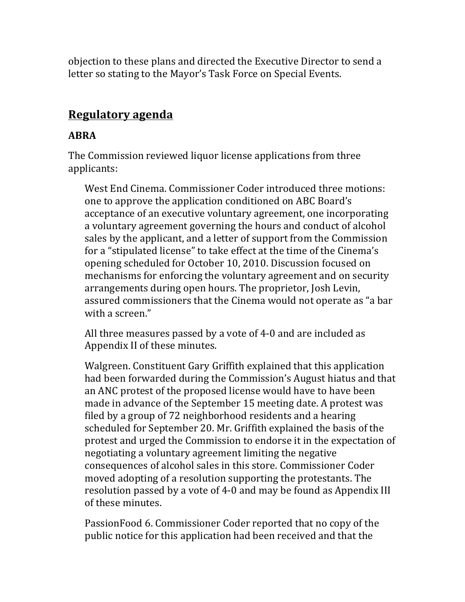objection to these plans and directed the Executive Director to send a letter so stating to the Mayor's Task Force on Special Events.

## **Regulatory agenda**

#### **ABRA**

The Commission reviewed liquor license applications from three applicants:

West End Cinema. Commissioner Coder introduced three motions: one to approve the application conditioned on ABC Board's acceptance of an executive voluntary agreement, one incorporating a voluntary agreement governing the hours and conduct of alcohol sales by the applicant, and a letter of support from the Commission for a "stipulated license" to take effect at the time of the Cinema's opening scheduled for October 10, 2010. Discussion focused on mechanisms for enforcing the voluntary agreement and on security arrangements during open hours. The proprietor, Josh Levin, assured commissioners that the Cinema would not operate as "a bar with a screen."

All three measures passed by a vote of 4-0 and are included as Appendix II of these minutes.

Walgreen. Constituent Gary Griffith explained that this application had been forwarded during the Commission's August hiatus and that an ANC protest of the proposed license would have to have been made in advance of the September 15 meeting date. A protest was filed by a group of 72 neighborhood residents and a hearing scheduled for September 20. Mr. Griffith explained the basis of the protest and urged the Commission to endorse it in the expectation of negotiating a voluntary agreement limiting the negative consequences of alcohol sales in this store. Commissioner Coder moved adopting of a resolution supporting the protestants. The resolution passed by a vote of 4-0 and may be found as Appendix III of these minutes.

PassionFood 6. Commissioner Coder reported that no copy of the public notice for this application had been received and that the